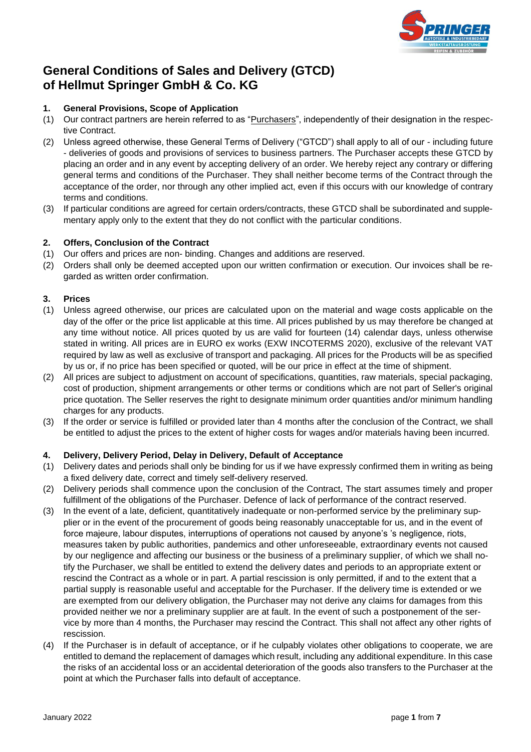

# **General Conditions of Sales and Delivery (GTCD) of Hellmut Springer GmbH & Co. KG**

# **1. General Provisions, Scope of Application**

- (1) Our contract partners are herein referred to as "Purchasers", independently of their designation in the respective Contract.
- (2) Unless agreed otherwise, these General Terms of Delivery ("GTCD") shall apply to all of our including future - deliveries of goods and provisions of services to business partners. The Purchaser accepts these GTCD by placing an order and in any event by accepting delivery of an order. We hereby reject any contrary or differing general terms and conditions of the Purchaser. They shall neither become terms of the Contract through the acceptance of the order, nor through any other implied act, even if this occurs with our knowledge of contrary terms and conditions.
- (3) If particular conditions are agreed for certain orders/contracts, these GTCD shall be subordinated and supplementary apply only to the extent that they do not conflict with the particular conditions.

# **2. Offers, Conclusion of the Contract**

- (1) Our offers and prices are non- binding. Changes and additions are reserved.
- (2) Orders shall only be deemed accepted upon our written confirmation or execution. Our invoices shall be regarded as written order confirmation.

# **3. Prices**

- (1) Unless agreed otherwise, our prices are calculated upon on the material and wage costs applicable on the day of the offer or the price list applicable at this time. All prices published by us may therefore be changed at any time without notice. All prices quoted by us are valid for fourteen (14) calendar days, unless otherwise stated in writing. All prices are in EURO ex works (EXW INCOTERMS 2020), exclusive of the relevant VAT required by law as well as exclusive of transport and packaging. All prices for the Products will be as specified by us or, if no price has been specified or quoted, will be our price in effect at the time of shipment.
- (2) All prices are subject to adjustment on account of specifications, quantities, raw materials, special packaging, cost of production, shipment arrangements or other terms or conditions which are not part of Seller's original price quotation. The Seller reserves the right to designate minimum order quantities and/or minimum handling charges for any products.
- (3) If the order or service is fulfilled or provided later than 4 months after the conclusion of the Contract, we shall be entitled to adjust the prices to the extent of higher costs for wages and/or materials having been incurred.

# **4. Delivery, Delivery Period, Delay in Delivery, Default of Acceptance**

- (1) Delivery dates and periods shall only be binding for us if we have expressly confirmed them in writing as being a fixed delivery date, correct and timely self-delivery reserved.
- (2) Delivery periods shall commence upon the conclusion of the Contract, The start assumes timely and proper fulfillment of the obligations of the Purchaser. Defence of lack of performance of the contract reserved.
- (3) In the event of a late, deficient, quantitatively inadequate or non-performed service by the preliminary supplier or in the event of the procurement of goods being reasonably unacceptable for us, and in the event of force majeure, labour disputes, interruptions of operations not caused by anyone's 's negligence, riots, measures taken by public authorities, pandemics and other unforeseeable, extraordinary events not caused by our negligence and affecting our business or the business of a preliminary supplier, of which we shall notify the Purchaser, we shall be entitled to extend the delivery dates and periods to an appropriate extent or rescind the Contract as a whole or in part. A partial rescission is only permitted, if and to the extent that a partial supply is reasonable useful and acceptable for the Purchaser. If the delivery time is extended or we are exempted from our delivery obligation, the Purchaser may not derive any claims for damages from this provided neither we nor a preliminary supplier are at fault. In the event of such a postponement of the service by more than 4 months, the Purchaser may rescind the Contract. This shall not affect any other rights of rescission.
- (4) If the Purchaser is in default of acceptance, or if he culpably violates other obligations to cooperate, we are entitled to demand the replacement of damages which result, including any additional expenditure. In this case the risks of an accidental loss or an accidental deterioration of the goods also transfers to the Purchaser at the point at which the Purchaser falls into default of acceptance.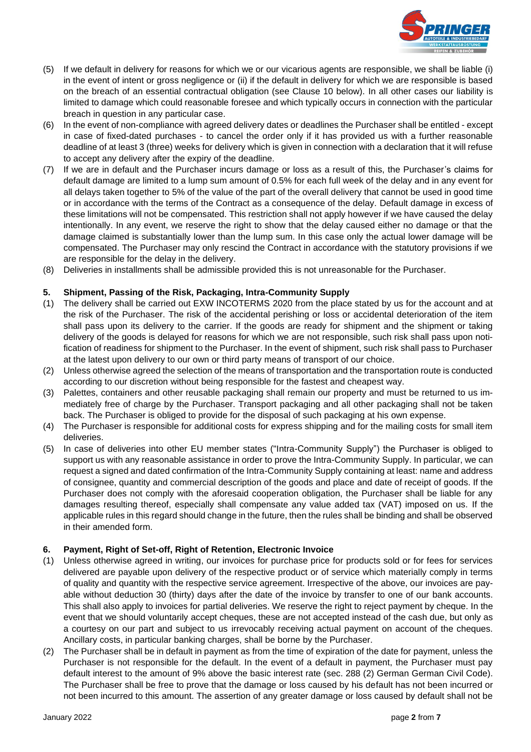

- (5) If we default in delivery for reasons for which we or our vicarious agents are responsible, we shall be liable (i) in the event of intent or gross negligence or (ii) if the default in delivery for which we are responsible is based on the breach of an essential contractual obligation (see Clause 10 below). In all other cases our liability is limited to damage which could reasonable foresee and which typically occurs in connection with the particular breach in question in any particular case.
- (6) In the event of non-compliance with agreed delivery dates or deadlines the Purchaser shall be entitled except in case of fixed-dated purchases - to cancel the order only if it has provided us with a further reasonable deadline of at least 3 (three) weeks for delivery which is given in connection with a declaration that it will refuse to accept any delivery after the expiry of the deadline.
- (7) If we are in default and the Purchaser incurs damage or loss as a result of this, the Purchaser's claims for default damage are limited to a lump sum amount of 0.5% for each full week of the delay and in any event for all delays taken together to 5% of the value of the part of the overall delivery that cannot be used in good time or in accordance with the terms of the Contract as a consequence of the delay. Default damage in excess of these limitations will not be compensated. This restriction shall not apply however if we have caused the delay intentionally. In any event, we reserve the right to show that the delay caused either no damage or that the damage claimed is substantially lower than the lump sum. In this case only the actual lower damage will be compensated. The Purchaser may only rescind the Contract in accordance with the statutory provisions if we are responsible for the delay in the delivery.
- (8) Deliveries in installments shall be admissible provided this is not unreasonable for the Purchaser.

# **5. Shipment, Passing of the Risk, Packaging, Intra-Community Supply**

- (1) The delivery shall be carried out EXW INCOTERMS 2020 from the place stated by us for the account and at the risk of the Purchaser. The risk of the accidental perishing or loss or accidental deterioration of the item shall pass upon its delivery to the carrier. If the goods are ready for shipment and the shipment or taking delivery of the goods is delayed for reasons for which we are not responsible, such risk shall pass upon notification of readiness for shipment to the Purchaser. In the event of shipment, such risk shall pass to Purchaser at the latest upon delivery to our own or third party means of transport of our choice.
- (2) Unless otherwise agreed the selection of the means of transportation and the transportation route is conducted according to our discretion without being responsible for the fastest and cheapest way.
- (3) Palettes, containers and other reusable packaging shall remain our property and must be returned to us immediately free of charge by the Purchaser. Transport packaging and all other packaging shall not be taken back. The Purchaser is obliged to provide for the disposal of such packaging at his own expense.
- (4) The Purchaser is responsible for additional costs for express shipping and for the mailing costs for small item deliveries.
- (5) In case of deliveries into other EU member states ("Intra-Community Supply") the Purchaser is obliged to support us with any reasonable assistance in order to prove the Intra-Community Supply. In particular, we can request a signed and dated confirmation of the Intra-Community Supply containing at least: name and address of consignee, quantity and commercial description of the goods and place and date of receipt of goods. If the Purchaser does not comply with the aforesaid cooperation obligation, the Purchaser shall be liable for any damages resulting thereof, especially shall compensate any value added tax (VAT) imposed on us. If the applicable rules in this regard should change in the future, then the rules shall be binding and shall be observed in their amended form.

# **6. Payment, Right of Set-off, Right of Retention, Electronic Invoice**

- (1) Unless otherwise agreed in writing, our invoices for purchase price for products sold or for fees for services delivered are payable upon delivery of the respective product or of service which materially comply in terms of quality and quantity with the respective service agreement. Irrespective of the above, our invoices are payable without deduction 30 (thirty) days after the date of the invoice by transfer to one of our bank accounts. This shall also apply to invoices for partial deliveries. We reserve the right to reject payment by cheque. In the event that we should voluntarily accept cheques, these are not accepted instead of the cash due, but only as a courtesy on our part and subject to us irrevocably receiving actual payment on account of the cheques. Ancillary costs, in particular banking charges, shall be borne by the Purchaser.
- (2) The Purchaser shall be in default in payment as from the time of expiration of the date for payment, unless the Purchaser is not responsible for the default. In the event of a default in payment, the Purchaser must pay default interest to the amount of 9% above the basic interest rate (sec. 288 (2) German German Civil Code). The Purchaser shall be free to prove that the damage or loss caused by his default has not been incurred or not been incurred to this amount. The assertion of any greater damage or loss caused by default shall not be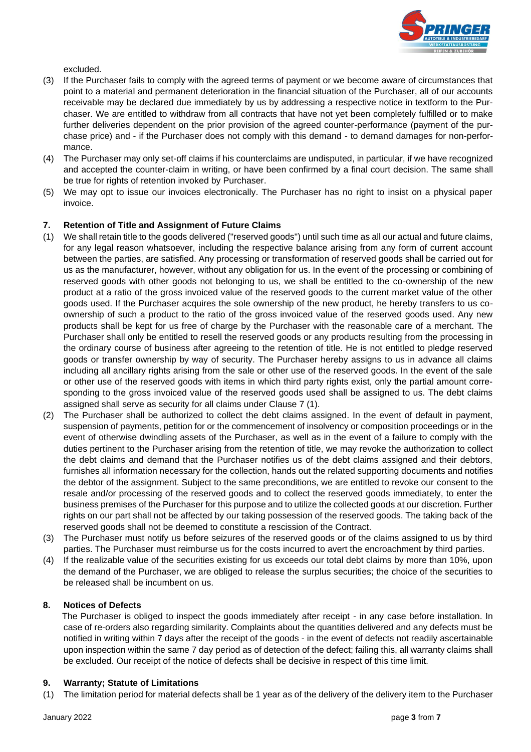

excluded.

- (3) If the Purchaser fails to comply with the agreed terms of payment or we become aware of circumstances that point to a material and permanent deterioration in the financial situation of the Purchaser, all of our accounts receivable may be declared due immediately by us by addressing a respective notice in textform to the Purchaser. We are entitled to withdraw from all contracts that have not yet been completely fulfilled or to make further deliveries dependent on the prior provision of the agreed counter-performance (payment of the purchase price) and - if the Purchaser does not comply with this demand - to demand damages for non-performance.
- (4) The Purchaser may only set-off claims if his counterclaims are undisputed, in particular, if we have recognized and accepted the counter-claim in writing, or have been confirmed by a final court decision. The same shall be true for rights of retention invoked by Purchaser.
- (5) We may opt to issue our invoices electronically. The Purchaser has no right to insist on a physical paper invoice.

#### **7. Retention of Title and Assignment of Future Claims**

- (1) We shall retain title to the goods delivered ("reserved goods") until such time as all our actual and future claims, for any legal reason whatsoever, including the respective balance arising from any form of current account between the parties, are satisfied. Any processing or transformation of reserved goods shall be carried out for us as the manufacturer, however, without any obligation for us. In the event of the processing or combining of reserved goods with other goods not belonging to us, we shall be entitled to the co-ownership of the new product at a ratio of the gross invoiced value of the reserved goods to the current market value of the other goods used. If the Purchaser acquires the sole ownership of the new product, he hereby transfers to us coownership of such a product to the ratio of the gross invoiced value of the reserved goods used. Any new products shall be kept for us free of charge by the Purchaser with the reasonable care of a merchant. The Purchaser shall only be entitled to resell the reserved goods or any products resulting from the processing in the ordinary course of business after agreeing to the retention of title. He is not entitled to pledge reserved goods or transfer ownership by way of security. The Purchaser hereby assigns to us in advance all claims including all ancillary rights arising from the sale or other use of the reserved goods. In the event of the sale or other use of the reserved goods with items in which third party rights exist, only the partial amount corresponding to the gross invoiced value of the reserved goods used shall be assigned to us. The debt claims assigned shall serve as security for all claims under Clause 7 (1).
- (2) The Purchaser shall be authorized to collect the debt claims assigned. In the event of default in payment, suspension of payments, petition for or the commencement of insolvency or composition proceedings or in the event of otherwise dwindling assets of the Purchaser, as well as in the event of a failure to comply with the duties pertinent to the Purchaser arising from the retention of title, we may revoke the authorization to collect the debt claims and demand that the Purchaser notifies us of the debt claims assigned and their debtors, furnishes all information necessary for the collection, hands out the related supporting documents and notifies the debtor of the assignment. Subject to the same preconditions, we are entitled to revoke our consent to the resale and/or processing of the reserved goods and to collect the reserved goods immediately, to enter the business premises of the Purchaser for this purpose and to utilize the collected goods at our discretion. Further rights on our part shall not be affected by our taking possession of the reserved goods. The taking back of the reserved goods shall not be deemed to constitute a rescission of the Contract.
- (3) The Purchaser must notify us before seizures of the reserved goods or of the claims assigned to us by third parties. The Purchaser must reimburse us for the costs incurred to avert the encroachment by third parties.
- (4) If the realizable value of the securities existing for us exceeds our total debt claims by more than 10%, upon the demand of the Purchaser, we are obliged to release the surplus securities; the choice of the securities to be released shall be incumbent on us.

# **8. Notices of Defects**

The Purchaser is obliged to inspect the goods immediately after receipt - in any case before installation. In case of re-orders also regarding similarity. Complaints about the quantities delivered and any defects must be notified in writing within 7 days after the receipt of the goods - in the event of defects not readily ascertainable upon inspection within the same 7 day period as of detection of the defect; failing this, all warranty claims shall be excluded. Our receipt of the notice of defects shall be decisive in respect of this time limit.

#### **9. Warranty; Statute of Limitations**

(1) The limitation period for material defects shall be 1 year as of the delivery of the delivery item to the Purchaser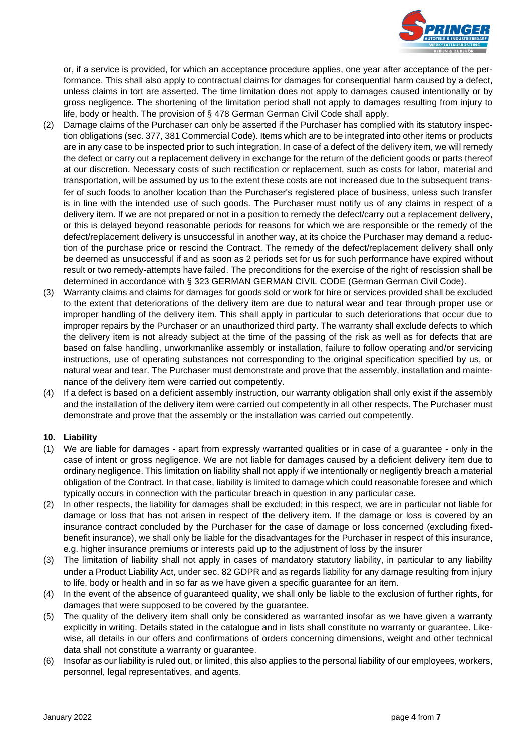

or, if a service is provided, for which an acceptance procedure applies, one year after acceptance of the performance. This shall also apply to contractual claims for damages for consequential harm caused by a defect, unless claims in tort are asserted. The time limitation does not apply to damages caused intentionally or by gross negligence. The shortening of the limitation period shall not apply to damages resulting from injury to life, body or health. The provision of § 478 German German Civil Code shall apply.

- (2) Damage claims of the Purchaser can only be asserted if the Purchaser has complied with its statutory inspection obligations (sec. 377, 381 Commercial Code). Items which are to be integrated into other items or products are in any case to be inspected prior to such integration. In case of a defect of the delivery item, we will remedy the defect or carry out a replacement delivery in exchange for the return of the deficient goods or parts thereof at our discretion. Necessary costs of such rectification or replacement, such as costs for labor, material and transportation, will be assumed by us to the extent these costs are not increased due to the subsequent transfer of such foods to another location than the Purchaser's registered place of business, unless such transfer is in line with the intended use of such goods. The Purchaser must notify us of any claims in respect of a delivery item. If we are not prepared or not in a position to remedy the defect/carry out a replacement delivery, or this is delayed beyond reasonable periods for reasons for which we are responsible or the remedy of the defect/replacement delivery is unsuccessful in another way, at its choice the Purchaser may demand a reduction of the purchase price or rescind the Contract. The remedy of the defect/replacement delivery shall only be deemed as unsuccessful if and as soon as 2 periods set for us for such performance have expired without result or two remedy-attempts have failed. The preconditions for the exercise of the right of rescission shall be determined in accordance with § 323 GERMAN GERMAN CIVIL CODE (German German Civil Code).
- (3) Warranty claims and claims for damages for goods sold or work for hire or services provided shall be excluded to the extent that deteriorations of the delivery item are due to natural wear and tear through proper use or improper handling of the delivery item. This shall apply in particular to such deteriorations that occur due to improper repairs by the Purchaser or an unauthorized third party. The warranty shall exclude defects to which the delivery item is not already subject at the time of the passing of the risk as well as for defects that are based on false handling, unworkmanlike assembly or installation, failure to follow operating and/or servicing instructions, use of operating substances not corresponding to the original specification specified by us, or natural wear and tear. The Purchaser must demonstrate and prove that the assembly, installation and maintenance of the delivery item were carried out competently.
- (4) If a defect is based on a deficient assembly instruction, our warranty obligation shall only exist if the assembly and the installation of the delivery item were carried out competently in all other respects. The Purchaser must demonstrate and prove that the assembly or the installation was carried out competently.

# **10. Liability**

- (1) We are liable for damages apart from expressly warranted qualities or in case of a guarantee only in the case of intent or gross negligence. We are not liable for damages caused by a deficient delivery item due to ordinary negligence. This limitation on liability shall not apply if we intentionally or negligently breach a material obligation of the Contract. In that case, liability is limited to damage which could reasonable foresee and which typically occurs in connection with the particular breach in question in any particular case.
- (2) In other respects, the liability for damages shall be excluded; in this respect, we are in particular not liable for damage or loss that has not arisen in respect of the delivery item. If the damage or loss is covered by an insurance contract concluded by the Purchaser for the case of damage or loss concerned (excluding fixedbenefit insurance), we shall only be liable for the disadvantages for the Purchaser in respect of this insurance, e.g. higher insurance premiums or interests paid up to the adjustment of loss by the insurer
- (3) The limitation of liability shall not apply in cases of mandatory statutory liability, in particular to any liability under a Product Liability Act, under sec. 82 GDPR and as regards liability for any damage resulting from injury to life, body or health and in so far as we have given a specific guarantee for an item.
- (4) In the event of the absence of guaranteed quality, we shall only be liable to the exclusion of further rights, for damages that were supposed to be covered by the guarantee.
- (5) The quality of the delivery item shall only be considered as warranted insofar as we have given a warranty explicitly in writing. Details stated in the catalogue and in lists shall constitute no warranty or guarantee. Likewise, all details in our offers and confirmations of orders concerning dimensions, weight and other technical data shall not constitute a warranty or guarantee.
- (6) Insofar as our liability is ruled out, or limited, this also applies to the personal liability of our employees, workers, personnel, legal representatives, and agents.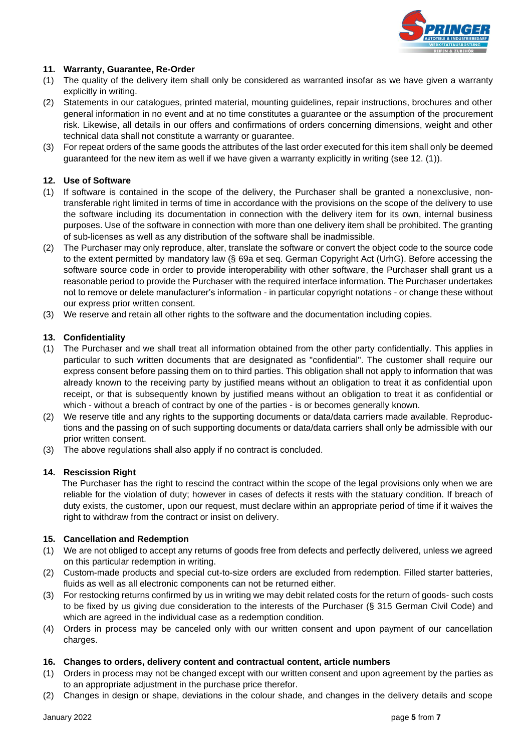

# **11. Warranty, Guarantee, Re-Order**

- (1) The quality of the delivery item shall only be considered as warranted insofar as we have given a warranty explicitly in writing.
- (2) Statements in our catalogues, printed material, mounting guidelines, repair instructions, brochures and other general information in no event and at no time constitutes a guarantee or the assumption of the procurement risk. Likewise, all details in our offers and confirmations of orders concerning dimensions, weight and other technical data shall not constitute a warranty or guarantee.
- (3) For repeat orders of the same goods the attributes of the last order executed for this item shall only be deemed guaranteed for the new item as well if we have given a warranty explicitly in writing (see 12. (1)).

# **12. Use of Software**

- (1) If software is contained in the scope of the delivery, the Purchaser shall be granted a nonexclusive, nontransferable right limited in terms of time in accordance with the provisions on the scope of the delivery to use the software including its documentation in connection with the delivery item for its own, internal business purposes. Use of the software in connection with more than one delivery item shall be prohibited. The granting of sub-licenses as well as any distribution of the software shall be inadmissible.
- (2) The Purchaser may only reproduce, alter, translate the software or convert the object code to the source code to the extent permitted by mandatory law (§ 69a et seq. German Copyright Act (UrhG). Before accessing the software source code in order to provide interoperability with other software, the Purchaser shall grant us a reasonable period to provide the Purchaser with the required interface information. The Purchaser undertakes not to remove or delete manufacturer's information - in particular copyright notations - or change these without our express prior written consent.
- (3) We reserve and retain all other rights to the software and the documentation including copies.

#### **13. Confidentiality**

- (1) The Purchaser and we shall treat all information obtained from the other party confidentially. This applies in particular to such written documents that are designated as "confidential". The customer shall require our express consent before passing them on to third parties. This obligation shall not apply to information that was already known to the receiving party by justified means without an obligation to treat it as confidential upon receipt, or that is subsequently known by justified means without an obligation to treat it as confidential or which - without a breach of contract by one of the parties - is or becomes generally known.
- (2) We reserve title and any rights to the supporting documents or data/data carriers made available. Reproductions and the passing on of such supporting documents or data/data carriers shall only be admissible with our prior written consent.
- (3) The above regulations shall also apply if no contract is concluded.

# **14. Rescission Right**

The Purchaser has the right to rescind the contract within the scope of the legal provisions only when we are reliable for the violation of duty; however in cases of defects it rests with the statuary condition. If breach of duty exists, the customer, upon our request, must declare within an appropriate period of time if it waives the right to withdraw from the contract or insist on delivery.

# **15. Cancellation and Redemption**

- (1) We are not obliged to accept any returns of goods free from defects and perfectly delivered, unless we agreed on this particular redemption in writing.
- (2) Custom-made products and special cut-to-size orders are excluded from redemption. Filled starter batteries, fluids as well as all electronic components can not be returned either.
- (3) For restocking returns confirmed by us in writing we may debit related costs for the return of goods- such costs to be fixed by us giving due consideration to the interests of the Purchaser (§ 315 German Civil Code) and which are agreed in the individual case as a redemption condition.
- (4) Orders in process may be canceled only with our written consent and upon payment of our cancellation charges.

#### **16. Changes to orders, delivery content and contractual content, article numbers**

- (1) Orders in process may not be changed except with our written consent and upon agreement by the parties as to an appropriate adjustment in the purchase price therefor.
- (2) Changes in design or shape, deviations in the colour shade, and changes in the delivery details and scope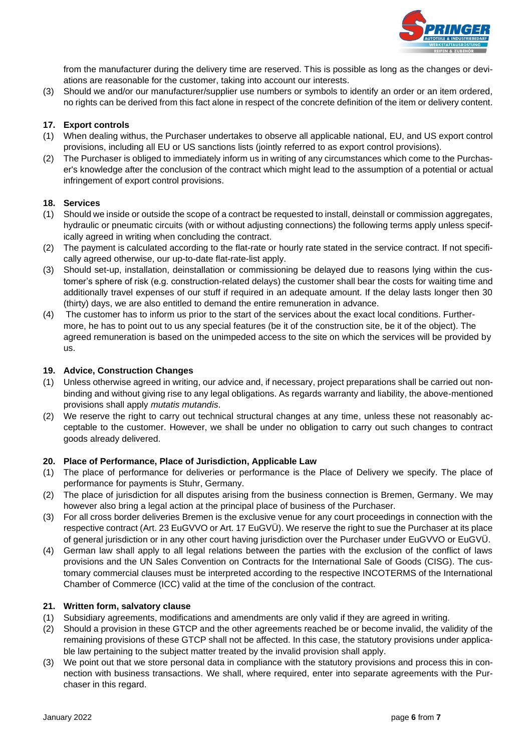

from the manufacturer during the delivery time are reserved. This is possible as long as the changes or deviations are reasonable for the customer, taking into account our interests.

(3) Should we and/or our manufacturer/supplier use numbers or symbols to identify an order or an item ordered, no rights can be derived from this fact alone in respect of the concrete definition of the item or delivery content.

#### **17. Export controls**

- (1) When dealing withus, the Purchaser undertakes to observe all applicable national, EU, and US export control provisions, including all EU or US sanctions lists (jointly referred to as export control provisions).
- (2) The Purchaser is obliged to immediately inform us in writing of any circumstances which come to the Purchaser's knowledge after the conclusion of the contract which might lead to the assumption of a potential or actual infringement of export control provisions.

#### **18. Services**

- (1) Should we inside or outside the scope of a contract be requested to install, deinstall or commission aggregates, hydraulic or pneumatic circuits (with or without adjusting connections) the following terms apply unless specifically agreed in writing when concluding the contract.
- (2) The payment is calculated according to the flat-rate or hourly rate stated in the service contract. If not specifically agreed otherwise, our up-to-date flat-rate-list apply.
- (3) Should set-up, installation, deinstallation or commissioning be delayed due to reasons lying within the customer's sphere of risk (e.g. construction-related delays) the customer shall bear the costs for waiting time and additionally travel expenses of our stuff if required in an adequate amount. If the delay lasts longer then 30 (thirty) days, we are also entitled to demand the entire remuneration in advance.
- (4) The customer has to inform us prior to the start of the services about the exact local conditions. Furthermore, he has to point out to us any special features (be it of the construction site, be it of the object). The agreed remuneration is based on the unimpeded access to the site on which the services will be provided by us.

#### **19. Advice, Construction Changes**

- (1) Unless otherwise agreed in writing, our advice and, if necessary, project preparations shall be carried out nonbinding and without giving rise to any legal obligations. As regards warranty and liability, the above-mentioned provisions shall apply *mutatis mutandis*.
- (2) We reserve the right to carry out technical structural changes at any time, unless these not reasonably acceptable to the customer. However, we shall be under no obligation to carry out such changes to contract goods already delivered.

#### **20. Place of Performance, Place of Jurisdiction, Applicable Law**

- (1) The place of performance for deliveries or performance is the Place of Delivery we specify. The place of performance for payments is Stuhr, Germany.
- (2) The place of jurisdiction for all disputes arising from the business connection is Bremen, Germany. We may however also bring a legal action at the principal place of business of the Purchaser.
- (3) For all cross border deliveries Bremen is the exclusive venue for any court proceedings in connection with the respective contract (Art. 23 EuGVVO or Art. 17 EuGVÜ). We reserve the right to sue the Purchaser at its place of general jurisdiction or in any other court having jurisdiction over the Purchaser under EuGVVO or EuGVÜ.
- (4) German law shall apply to all legal relations between the parties with the exclusion of the conflict of laws provisions and the UN Sales Convention on Contracts for the International Sale of Goods (CISG). The customary commercial clauses must be interpreted according to the respective INCOTERMS of the International Chamber of Commerce (ICC) valid at the time of the conclusion of the contract.

#### **21. Written form, salvatory clause**

- (1) Subsidiary agreements, modifications and amendments are only valid if they are agreed in writing.
- (2) Should a provision in these GTCP and the other agreements reached be or become invalid, the validity of the remaining provisions of these GTCP shall not be affected. In this case, the statutory provisions under applicable law pertaining to the subject matter treated by the invalid provision shall apply.
- (3) We point out that we store personal data in compliance with the statutory provisions and process this in connection with business transactions. We shall, where required, enter into separate agreements with the Purchaser in this regard.